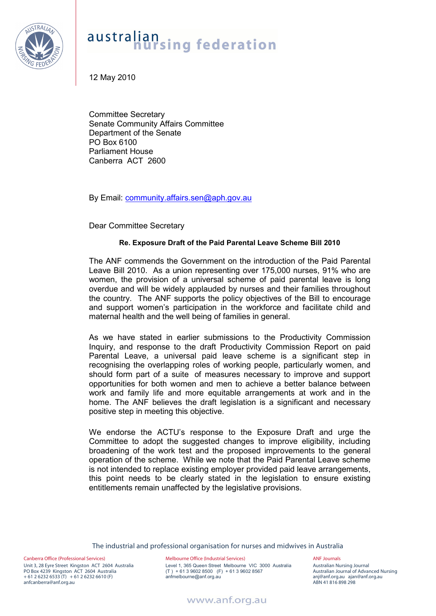

## australian<br>**hursing** federation

12 May 2010

Committee Secretary Senate Community Affairs Committee Department of the Senate PO Box 6100 Parliament House Canberra ACT 2600

By Email: community.affairs.sen@aph.gov.au

Dear Committee Secretary

## **Re. Exposure Draft of the Paid Parental Leave Scheme Bill 2010**

The ANF commends the Government on the introduction of the Paid Parental Leave Bill 2010. As a union representing over 175,000 nurses, 91% who are women, the provision of a universal scheme of paid parental leave is long overdue and will be widely applauded by nurses and their families throughout the country. The ANF supports the policy objectives of the Bill to encourage and support women's participation in the workforce and facilitate child and maternal health and the well being of families in general.

As we have stated in earlier submissions to the Productivity Commission Inquiry, and response to the draft Productivity Commission Report on paid Parental Leave, a universal paid leave scheme is a significant step in recognising the overlapping roles of working people, particularly women, and should form part of a suite of measures necessary to improve and support opportunities for both women and men to achieve a better balance between work and family life and more equitable arrangements at work and in the home. The ANF believes the draft legislation is a significant and necessary positive step in meeting this objective.

We endorse the ACTU's response to the Exposure Draft and urge the Committee to adopt the suggested changes to improve eligibility, including broadening of the work test and the proposed improvements to the general operation of the scheme. While we note that the Paid Parental Leave scheme is not intended to replace existing employer provided paid leave arrangements, this point needs to be clearly stated in the legislation to ensure existing entitlements remain unaffected by the legislative provisions.

The industrial and professional organisation for nurses and midwives in Australia

Canberra Office (Professional Services) Unit 3, 28 Eyre Street Kingston ACT 2604 Australia PO Box 4239 Kingston ACT 2604 Australia  $+ 61 2 6232 6533$  (T)  $+ 61 2 6232 6610$  (F) anfcanberra@anf.org.au

Melbourne Office (Industrial Services) Level 1, 365 Queen Street Melbourne VIC 3000 Australia (T ) + 61 3 9602 8500 (F) + 61 3 9602 8567 anfmelbourne@anf.org.au

ANF Journals Australian Nursing Journal Australian Journal of Advanced Nursing anj@anf.org.au ajan@anf.org.au ABN 41 816 898 298